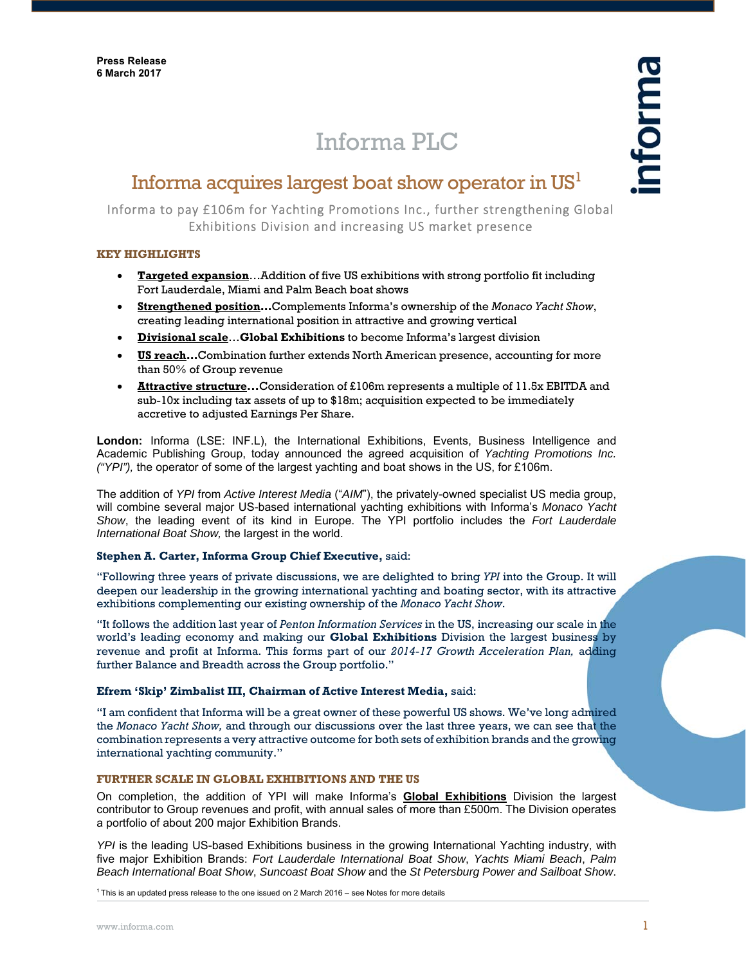# Informa PLC

## Informa acquires largest boat show operator in  $US<sup>1</sup>$

Informa to pay £106m for Yachting Promotions Inc., further strengthening Global Exhibitions Division and increasing US market presence

### **KEY HIGHLIGHTS**

- **Targeted expansion**…Addition of five US exhibitions with strong portfolio fit including Fort Lauderdale, Miami and Palm Beach boat shows
- **Strengthened position…**Complements Informa's ownership of the *Monaco Yacht Show*, creating leading international position in attractive and growing vertical
- **Divisional scale**…**Global Exhibitions** to become Informa's largest division
- **US reach…**Combination further extends North American presence, accounting for more than 50% of Group revenue
- **Attractive structure...**Consideration of £106m represents a multiple of 11.5x EBITDA and sub-10x including tax assets of up to \$18m; acquisition expected to be immediately accretive to adjusted Earnings Per Share.

**London:** Informa (LSE: INF.L), the International Exhibitions, Events, Business Intelligence and Academic Publishing Group, today announced the agreed acquisition of *Yachting Promotions Inc. ("YPI"),* the operator of some of the largest yachting and boat shows in the US, for £106m.

The addition of *YPI* from *Active Interest Media* ("*AIM*"), the privately-owned specialist US media group, will combine several major US-based international yachting exhibitions with Informa's *Monaco Yacht Show*, the leading event of its kind in Europe. The YPI portfolio includes the *Fort Lauderdale International Boat Show,* the largest in the world.

#### **Stephen A. Carter, Informa Group Chief Executive,** said:

"Following three years of private discussions, we are delighted to bring *YPI* into the Group. It will deepen our leadership in the growing international yachting and boating sector, with its attractive exhibitions complementing our existing ownership of the *Monaco Yacht Show*.

"It follows the addition last year of *Penton Information Services* in the US, increasing our scale in the world's leading economy and making our **Global Exhibitions** Division the largest business by revenue and profit at Informa. This forms part of our *2014-17 Growth Acceleration Plan,* adding further Balance and Breadth across the Group portfolio."

#### **Efrem 'Skip' Zimbalist III, Chairman of Active Interest Media,** said:

"I am confident that Informa will be a great owner of these powerful US shows. We've long admired the *Monaco Yacht Show,* and through our discussions over the last three years, we can see that the combination represents a very attractive outcome for both sets of exhibition brands and the growing international yachting community."

#### **FURTHER SCALE IN GLOBAL EXHIBITIONS AND THE US**

On completion, the addition of YPI will make Informa's **Global Exhibitions** Division the largest contributor to Group revenues and profit, with annual sales of more than £500m. The Division operates a portfolio of about 200 major Exhibition Brands.

*YPI* is the leading US-based Exhibitions business in the growing International Yachting industry, with five major Exhibition Brands: *Fort Lauderdale International Boat Show*, *Yachts Miami Beach*, *Palm Beach International Boat Show*, *Suncoast Boat Show* and the *St Petersburg Power and Sailboat Show*.

<sup>1</sup> This is an updated press release to the one issued on 2 March 2016 – see Notes for more details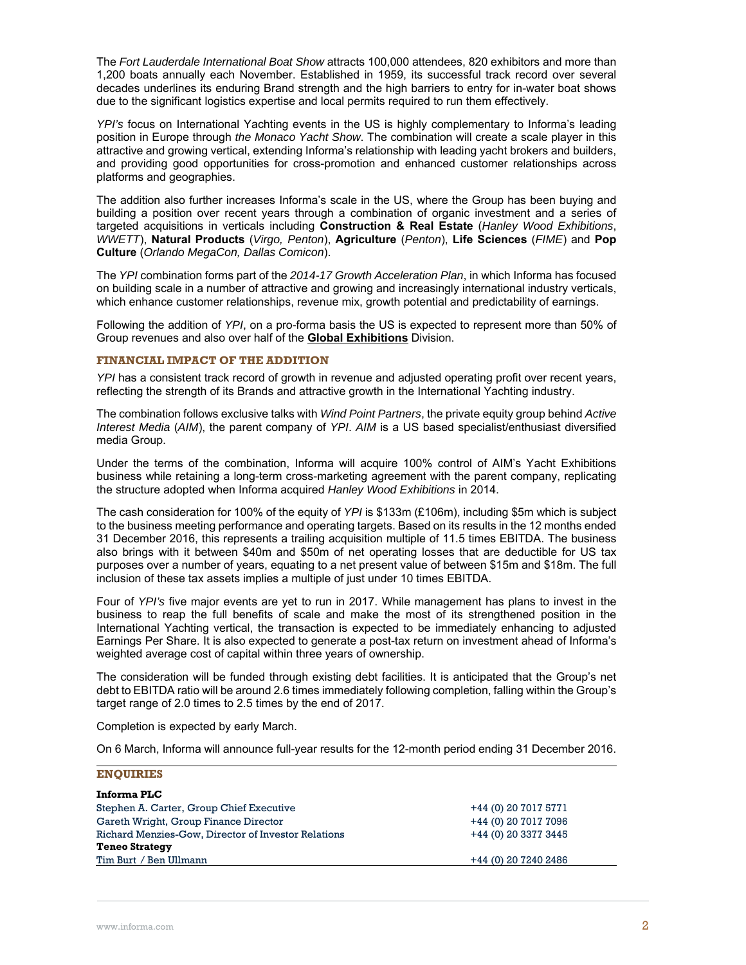The *Fort Lauderdale International Boat Show* attracts 100,000 attendees, 820 exhibitors and more than 1,200 boats annually each November. Established in 1959, its successful track record over several decades underlines its enduring Brand strength and the high barriers to entry for in-water boat shows due to the significant logistics expertise and local permits required to run them effectively.

*YPI's* focus on International Yachting events in the US is highly complementary to Informa's leading position in Europe through *the Monaco Yacht Show*. The combination will create a scale player in this attractive and growing vertical, extending Informa's relationship with leading yacht brokers and builders, and providing good opportunities for cross-promotion and enhanced customer relationships across platforms and geographies.

The addition also further increases Informa's scale in the US, where the Group has been buying and building a position over recent years through a combination of organic investment and a series of targeted acquisitions in verticals including **Construction & Real Estate** (*Hanley Wood Exhibitions*, *WWETT*), **Natural Products** (*Virgo, Penton*), **Agriculture** (*Penton*), **Life Sciences** (*FIME*) and **Pop Culture** (*Orlando MegaCon, Dallas Comicon*).

The *YPI* combination forms part of the *2014-17 Growth Acceleration Plan*, in which Informa has focused on building scale in a number of attractive and growing and increasingly international industry verticals, which enhance customer relationships, revenue mix, growth potential and predictability of earnings.

Following the addition of *YPI*, on a pro-forma basis the US is expected to represent more than 50% of Group revenues and also over half of the **Global Exhibitions** Division.

#### **FINANCIAL IMPACT OF THE ADDITION**

*YPI* has a consistent track record of growth in revenue and adjusted operating profit over recent years, reflecting the strength of its Brands and attractive growth in the International Yachting industry.

The combination follows exclusive talks with *Wind Point Partners*, the private equity group behind *Active Interest Media* (*AIM*), the parent company of *YPI*. *AIM* is a US based specialist/enthusiast diversified media Group.

Under the terms of the combination, Informa will acquire 100% control of AIM's Yacht Exhibitions business while retaining a long-term cross-marketing agreement with the parent company, replicating the structure adopted when Informa acquired *Hanley Wood Exhibitions* in 2014.

The cash consideration for 100% of the equity of *YPI* is \$133m (£106m), including \$5m which is subject to the business meeting performance and operating targets. Based on its results in the 12 months ended 31 December 2016, this represents a trailing acquisition multiple of 11.5 times EBITDA. The business also brings with it between \$40m and \$50m of net operating losses that are deductible for US tax purposes over a number of years, equating to a net present value of between \$15m and \$18m. The full inclusion of these tax assets implies a multiple of just under 10 times EBITDA.

Four of *YPI's* five major events are yet to run in 2017. While management has plans to invest in the business to reap the full benefits of scale and make the most of its strengthened position in the International Yachting vertical, the transaction is expected to be immediately enhancing to adjusted Earnings Per Share. It is also expected to generate a post-tax return on investment ahead of Informa's weighted average cost of capital within three years of ownership.

The consideration will be funded through existing debt facilities. It is anticipated that the Group's net debt to EBITDA ratio will be around 2.6 times immediately following completion, falling within the Group's target range of 2.0 times to 2.5 times by the end of 2017.

Completion is expected by early March.

On 6 March, Informa will announce full-year results for the 12-month period ending 31 December 2016.

| <b>ENOUIRIES</b>                                    |                      |  |
|-----------------------------------------------------|----------------------|--|
| Informa PLC                                         |                      |  |
| Stephen A. Carter, Group Chief Executive            | +44 (0) 20 7017 5771 |  |
| Gareth Wright, Group Finance Director               | +44 (0) 20 7017 7096 |  |
| Richard Menzies-Gow, Director of Investor Relations | +44 (0) 20 3377 3445 |  |
| <b>Teneo Strategy</b>                               |                      |  |
| Tim Burt / Ben Ullmann                              | +44 (0) 20 7240 2486 |  |